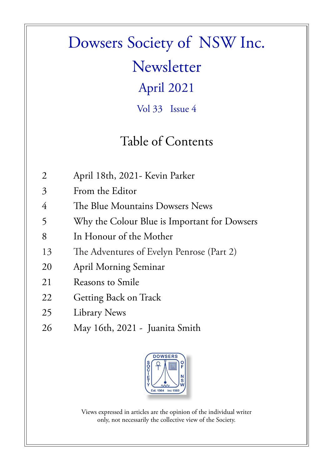## Dowsers Society of NSW Inc. Newsletter April 2021 Vol 33 Issue 4

### Table of Contents

- 2 April 18th, 2021- Kevin Parker
- 3 From the Editor
- 4 The Blue Mountains Dowsers News
- 5 Why the Colour Blue is Important for Dowsers
- 8 In Honour of the Mother
- 13 The Adventures of Evelyn Penrose (Part 2)
- 20 April Morning Seminar
- 21 Reasons to Smile
- 22 Getting Back on Track
- 25 Library News
- 26 May 16th, 2021 Juanita Smith



Views expressed in articles are the opinion of the individual writer only, not necessarily the collective view of the Society.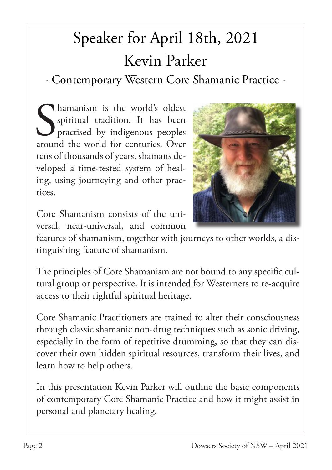# Speaker for April 18th, 2021 Kevin Parker

- Contemporary Western Core Shamanic Practice -

S<sub>aroun</sub> hamanism is the world's oldest spiritual tradition. It has been practised by indigenous peoples around the world for centuries. Over tens of thousands of years, shamans developed a time-tested system of healing, using journeying and other practices.



Core Shamanism consists of the universal, near-universal, and common

features of shamanism, together with journeys to other worlds, a distinguishing feature of shamanism.

The principles of Core Shamanism are not bound to any specific cultural group or perspective. It is intended for Westerners to re-acquire access to their rightful spiritual heritage.

Core Shamanic Practitioners are trained to alter their consciousness through classic shamanic non-drug techniques such as sonic driving, especially in the form of repetitive drumming, so that they can discover their own hidden spiritual resources, transform their lives, and learn how to help others.

In this presentation Kevin Parker will outline the basic components of contemporary Core Shamanic Practice and how it might assist in personal and planetary healing.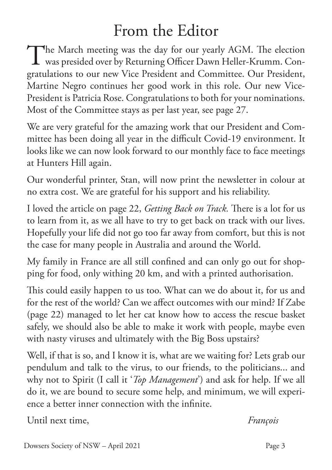## From the Editor

The March meeting was the day for our yearly AGM. The election<br>was presided over by Returning Officer Dawn Heller-Krumm. Conwas presided over by Returning Officer Dawn Heller-Krumm. Congratulations to our new Vice President and Committee. Our President, Martine Negro continues her good work in this role. Our new Vice-President is Patricia Rose. Congratulations to both for your nominations. Most of the Committee stays as per last year, see page 27.

We are very grateful for the amazing work that our President and Committee has been doing all year in the difficult Covid-19 environment. It looks like we can now look forward to our monthly face to face meetings at Hunters Hill again.

Our wonderful printer, Stan, will now print the newsletter in colour at no extra cost. We are grateful for his support and his reliability.

I loved the article on page 22, *Getting Back on Track.* There is a lot for us to learn from it, as we all have to try to get back on track with our lives. Hopefully your life did not go too far away from comfort, but this is not the case for many people in Australia and around the World.

My family in France are all still confined and can only go out for shopping for food, only withing 20 km, and with a printed authorisation.

This could easily happen to us too. What can we do about it, for us and for the rest of the world? Can we affect outcomes with our mind? If Zabe (page 22) managed to let her cat know how to access the rescue basket safely, we should also be able to make it work with people, maybe even with nasty viruses and ultimately with the Big Boss upstairs?

Well, if that is so, and I know it is, what are we waiting for? Lets grab our pendulum and talk to the virus, to our friends, to the politicians... and why not to Spirit (I call it '*Top Management*') and ask for help. If we all do it, we are bound to secure some help, and minimum, we will experience a better inner connection with the infinite.

Until next time, *François*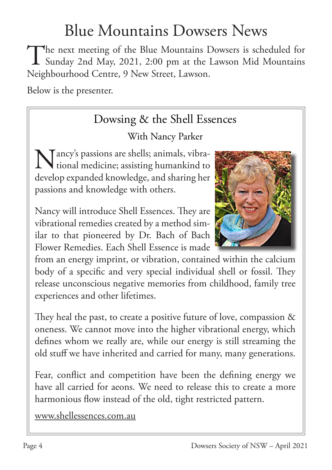## Blue Mountains Dowsers News

The next meeting of the Blue Mountains Dowsers is scheduled for<br>Sunday 2nd May, 2021, 2:00 pm at the Lawson Mid Mountains Sunday 2nd May, 2021, 2:00 pm at the Lawson Mid Mountains Neighbourhood Centre, 9 New Street, Lawson.

Below is the presenter.

### Dowsing & the Shell Essences

### With Nancy Parker

Tancy's passions are shells; animals, vibra-Mancy's passions are shells; animals, vibra-<br>tional medicine; assisting humankind to tional medicine; assisting humankind to develop expanded knowledge, and sharing her passions and knowledge with others.

Nancy will introduce Shell Essences. They are vibrational remedies created by a method similar to that pioneered by Dr. Bach of Bach Flower Remedies. Each Shell Essence is made



They heal the past, to create a positive future of love, compassion & oneness. We cannot move into the higher vibrational energy, which defines whom we really are, while our energy is still streaming the old stuff we have inherited and carried for many, many generations.

Fear, conflict and competition have been the defining energy we have all carried for aeons. We need to release this to create a more harmonious flow instead of the old, tight restricted pattern.

www.shellessences.com.au

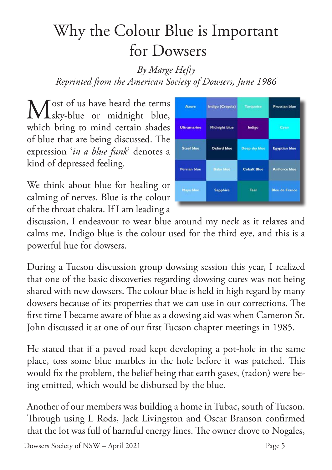## Why the Colour Blue is Important for Dowsers

### *By Marge Hefty Reprinted from the American Society of Dowsers, June 1986*

Most of us have heard the terms<br>
Msky-blue or midnight blue, sky-blue or midnight blue, which bring to mind certain shades of blue that are being discussed. The expression '*in a blue funk*' denotes a kind of depressed feeling.

We think about blue for healing or calming of nerves. Blue is the colour of the throat chakra. If I am leading a



discussion, I endeavour to wear blue around my neck as it relaxes and calms me. Indigo blue is the colour used for the third eye, and this is a powerful hue for dowsers.

During a Tucson discussion group dowsing session this year, I realized that one of the basic discoveries regarding dowsing cures was not being shared with new dowsers. The colour blue is held in high regard by many dowsers because of its properties that we can use in our corrections. The first time I became aware of blue as a dowsing aid was when Cameron St. John discussed it at one of our first Tucson chapter meetings in 1985.

He stated that if a paved road kept developing a pot-hole in the same place, toss some blue marbles in the hole before it was patched. This would fix the problem, the belief being that earth gases, (radon) were being emitted, which would be disbursed by the blue.

Another of our members was building a home in Tubac, south of Tucson. Through using L Rods, Jack Livingston and Oscar Branson confirmed that the lot was full of harmful energy lines. The owner drove to Nogales,

Dowsers Society of NSW – April 2021 Page 5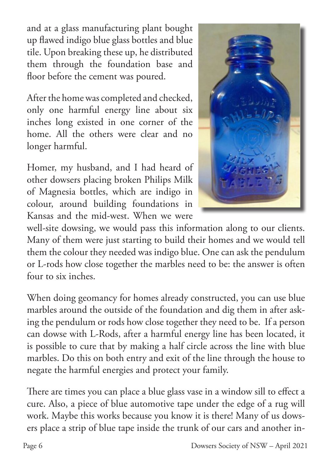and at a glass manufacturing plant bought up flawed indigo blue glass bottles and blue tile. Upon breaking these up, he distributed them through the foundation base and floor before the cement was poured.

After the home was completed and checked, only one harmful energy line about six inches long existed in one corner of the home. All the others were clear and no longer harmful.

Homer, my husband, and I had heard of other dowsers placing broken Philips Milk of Magnesia bottles, which are indigo in colour, around building foundations in Kansas and the mid-west. When we were



well-site dowsing, we would pass this information along to our clients. Many of them were just starting to build their homes and we would tell them the colour they needed was indigo blue. One can ask the pendulum or L-rods how close together the marbles need to be: the answer is often four to six inches.

When doing geomancy for homes already constructed, you can use blue marbles around the outside of the foundation and dig them in after asking the pendulum or rods how close together they need to be. If a person can dowse with L-Rods, after a harmful energy line has been located, it is possible to cure that by making a half circle across the line with blue marbles. Do this on both entry and exit of the line through the house to negate the harmful energies and protect your family.

There are times you can place a blue glass vase in a window sill to effect a cure. Also, a piece of blue automotive tape under the edge of a rug will work. Maybe this works because you know it is there! Many of us dowsers place a strip of blue tape inside the trunk of our cars and another in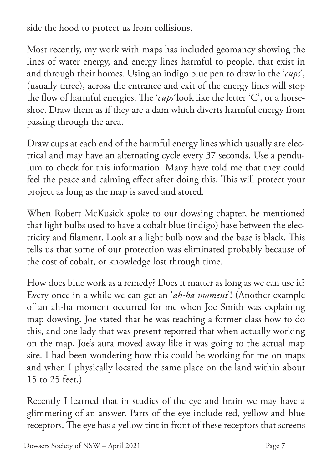side the hood to protect us from collisions.

Most recently, my work with maps has included geomancy showing the lines of water energy, and energy lines harmful to people, that exist in and through their homes. Using an indigo blue pen to draw in the '*cups*', (usually three), across the entrance and exit of the energy lines will stop the flow of harmful energies. The '*cups'* look like the letter 'C', or a horseshoe. Draw them as if they are a dam which diverts harmful energy from passing through the area.

Draw cups at each end of the harmful energy lines which usually are electrical and may have an alternating cycle every 37 seconds. Use a pendulum to check for this information. Many have told me that they could feel the peace and calming effect after doing this. This will protect your project as long as the map is saved and stored.

When Robert McKusick spoke to our dowsing chapter, he mentioned that light bulbs used to have a cobalt blue (indigo) base between the electricity and filament. Look at a light bulb now and the base is black. This tells us that some of our protection was eliminated probably because of the cost of cobalt, or knowledge lost through time.

How does blue work as a remedy? Does it matter as long as we can use it? Every once in a while we can get an '*ah-ha moment*'! (Another example of an ah-ha moment occurred for me when Joe Smith was explaining map dowsing. Joe stated that he was teaching a former class how to do this, and one lady that was present reported that when actually working on the map, Joe's aura moved away like it was going to the actual map site. I had been wondering how this could be working for me on maps and when I physically located the same place on the land within about 15 to 25 feet.)

Recently I learned that in studies of the eye and brain we may have a glimmering of an answer. Parts of the eye include red, yellow and blue receptors. The eye has a yellow tint in front of these receptors that screens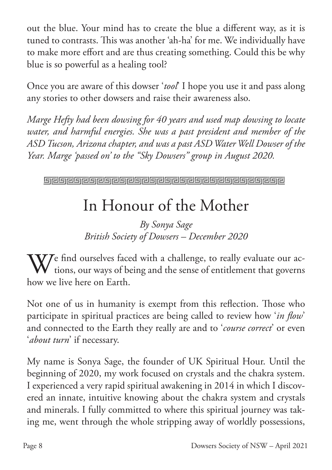out the blue. Your mind has to create the blue a different way, as it is tuned to contrasts. This was another 'ah-ha' for me. We individually have to make more effort and are thus creating something. Could this be why blue is so powerful as a healing tool?

Once you are aware of this dowser '*tool*' I hope you use it and pass along any stories to other dowsers and raise their awareness also.

*Marge Hefty had been dowsing for 40 years and used map dowsing to locate water, and harmful energies. She was a past president and member of the ASD Tucson, Arizona chapter, and was a past ASD Water Well Dowser of the Year. Marge 'passed on' to the "Sky Dowsers" group in August 2020.*

## In Honour of the Mother

*By Sonya Sage British Society of Dowsers – December 2020*

W/ find ourselves faced with a challenge, to really evaluate our ac- $\blacktriangledown$  tions, our ways of being and the sense of entitlement that governs how we live here on Earth.

Not one of us in humanity is exempt from this reflection. Those who participate in spiritual practices are being called to review how '*in flow*' and connected to the Earth they really are and to '*course correct*' or even '*about turn*' if necessary.

My name is Sonya Sage, the founder of UK Spiritual Hour. Until the beginning of 2020, my work focused on crystals and the chakra system. I experienced a very rapid spiritual awakening in 2014 in which I discovered an innate, intuitive knowing about the chakra system and crystals and minerals. I fully committed to where this spiritual journey was taking me, went through the whole stripping away of worldly possessions,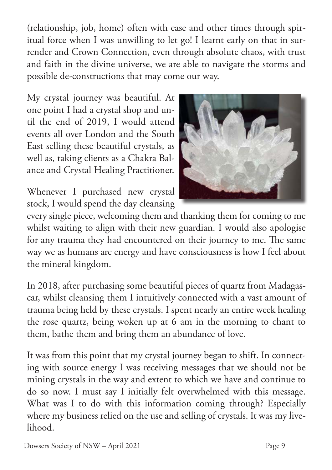(relationship, job, home) often with ease and other times through spiritual force when I was unwilling to let go! I learnt early on that in surrender and Crown Connection, even through absolute chaos, with trust and faith in the divine universe, we are able to navigate the storms and possible de-constructions that may come our way.

My crystal journey was beautiful. At one point I had a crystal shop and until the end of 2019, I would attend events all over London and the South East selling these beautiful crystals, as well as, taking clients as a Chakra Balance and Crystal Healing Practitioner.

Whenever I purchased new crystal stock, I would spend the day cleansing



every single piece, welcoming them and thanking them for coming to me whilst waiting to align with their new guardian. I would also apologise for any trauma they had encountered on their journey to me. The same way we as humans are energy and have consciousness is how I feel about the mineral kingdom.

In 2018, after purchasing some beautiful pieces of quartz from Madagascar, whilst cleansing them I intuitively connected with a vast amount of trauma being held by these crystals. I spent nearly an entire week healing the rose quartz, being woken up at 6 am in the morning to chant to them, bathe them and bring them an abundance of love.

It was from this point that my crystal journey began to shift. In connecting with source energy I was receiving messages that we should not be mining crystals in the way and extent to which we have and continue to do so now. I must say I initially felt overwhelmed with this message. What was I to do with this information coming through? Especially where my business relied on the use and selling of crystals. It was my livelihood.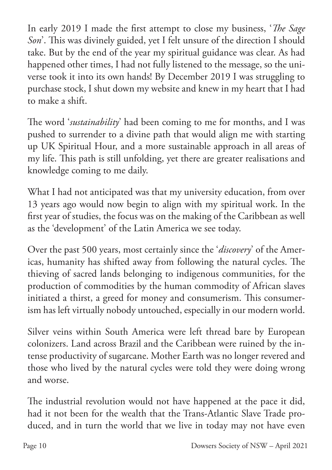In early 2019 I made the first attempt to close my business, '*The Sage Son*'. This was divinely guided, yet I felt unsure of the direction I should take. But by the end of the year my spiritual guidance was clear. As had happened other times, I had not fully listened to the message, so the universe took it into its own hands! By December 2019 I was struggling to purchase stock, I shut down my website and knew in my heart that I had to make a shift.

The word '*sustainability*' had been coming to me for months, and I was pushed to surrender to a divine path that would align me with starting up UK Spiritual Hour, and a more sustainable approach in all areas of my life. This path is still unfolding, yet there are greater realisations and knowledge coming to me daily.

What I had not anticipated was that my university education, from over 13 years ago would now begin to align with my spiritual work. In the first year of studies, the focus was on the making of the Caribbean as well as the 'development' of the Latin America we see today.

Over the past 500 years, most certainly since the '*discovery*' of the Americas, humanity has shifted away from following the natural cycles. The thieving of sacred lands belonging to indigenous communities, for the production of commodities by the human commodity of African slaves initiated a thirst, a greed for money and consumerism. This consumerism has left virtually nobody untouched, especially in our modern world.

Silver veins within South America were left thread bare by European colonizers. Land across Brazil and the Caribbean were ruined by the intense productivity of sugarcane. Mother Earth was no longer revered and those who lived by the natural cycles were told they were doing wrong and worse.

The industrial revolution would not have happened at the pace it did, had it not been for the wealth that the Trans-Atlantic Slave Trade produced, and in turn the world that we live in today may not have even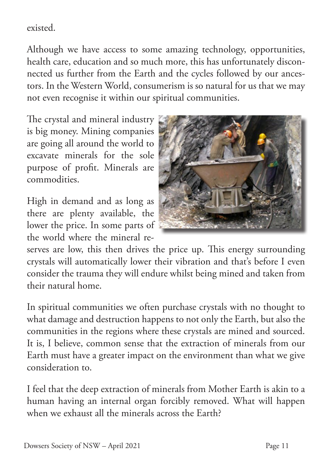existed.

Although we have access to some amazing technology, opportunities, health care, education and so much more, this has unfortunately disconnected us further from the Earth and the cycles followed by our ancestors. In the Western World, consumerism is so natural for us that we may not even recognise it within our spiritual communities.

The crystal and mineral industry is big money. Mining companies are going all around the world to excavate minerals for the sole purpose of profit. Minerals are commodities.

High in demand and as long as there are plenty available, the lower the price. In some parts of the world where the mineral re-



serves are low, this then drives the price up. This energy surrounding crystals will automatically lower their vibration and that's before I even consider the trauma they will endure whilst being mined and taken from their natural home.

In spiritual communities we often purchase crystals with no thought to what damage and destruction happens to not only the Earth, but also the communities in the regions where these crystals are mined and sourced. It is, I believe, common sense that the extraction of minerals from our Earth must have a greater impact on the environment than what we give consideration to.

I feel that the deep extraction of minerals from Mother Earth is akin to a human having an internal organ forcibly removed. What will happen when we exhaust all the minerals across the Earth?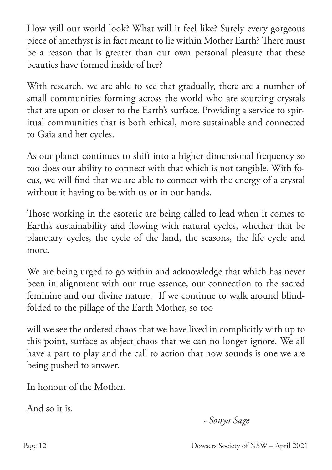How will our world look? What will it feel like? Surely every gorgeous piece of amethyst is in fact meant to lie within Mother Earth? There must be a reason that is greater than our own personal pleasure that these beauties have formed inside of her?

With research, we are able to see that gradually, there are a number of small communities forming across the world who are sourcing crystals that are upon or closer to the Earth's surface. Providing a service to spiritual communities that is both ethical, more sustainable and connected to Gaia and her cycles.

As our planet continues to shift into a higher dimensional frequency so too does our ability to connect with that which is not tangible. With focus, we will find that we are able to connect with the energy of a crystal without it having to be with us or in our hands.

Those working in the esoteric are being called to lead when it comes to Earth's sustainability and flowing with natural cycles, whether that be planetary cycles, the cycle of the land, the seasons, the life cycle and more.

We are being urged to go within and acknowledge that which has never been in alignment with our true essence, our connection to the sacred feminine and our divine nature. If we continue to walk around blindfolded to the pillage of the Earth Mother, so too

will we see the ordered chaos that we have lived in complicitly with up to this point, surface as abject chaos that we can no longer ignore. We all have a part to play and the call to action that now sounds is one we are being pushed to answer.

In honour of the Mother.

And so it is.

 *~Sonya Sage*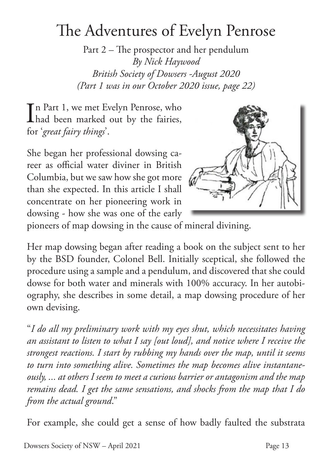## The Adventures of Evelyn Penrose

Part 2 – The prospector and her pendulum *By Nick Haywood British Society of Dowsers -August 2020 (Part 1 was in our October 2020 issue, page 22)*

In Part 1, we met Evelyn Penrose, who<br>had been marked out by the fairies, had been marked out by the fairies, for '*great fairy things*'.

She began her professional dowsing career as official water diviner in British Columbia, but we saw how she got more than she expected. In this article I shall concentrate on her pioneering work in dowsing - how she was one of the early



pioneers of map dowsing in the cause of mineral divining.

Her map dowsing began after reading a book on the subject sent to her by the BSD founder, Colonel Bell. Initially sceptical, she followed the procedure using a sample and a pendulum, and discovered that she could dowse for both water and minerals with 100% accuracy. In her autobiography, she describes in some detail, a map dowsing procedure of her own devising.

"*I do all my preliminary work with my eyes shut, which necessitates having an assistant to listen to what I say [out loud], and notice where I receive the strongest reactions. I start by rubbing my hands over the map, until it seems to turn into something alive. Sometimes the map becomes alive instantaneously, ... at others I seem to meet a curious barrier or antagonism and the map remains dead. I get the same sensations, and shocks from the map that I do from the actual ground*."

For example, she could get a sense of how badly faulted the substrata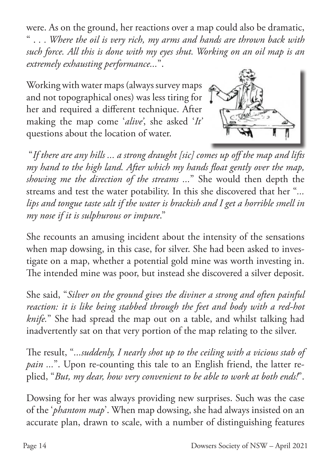were. As on the ground, her reactions over a map could also be dramatic, " . *. . Where the oil is very rich, my arms and hands are thrown back with such force. All this is done with my eyes shut. Working on an oil map is an extremely exhausting performance...*".

Working with water maps (always survey maps and not topographical ones) was less tiring for her and required a different technique. After making the map come '*alive'*, she asked '*It'* questions about the location of water.



 "*If there are any hills ... a strong draught [sic] comes up off the map and lifts my hand to the high land. After which my hands float gently over the map, showing me the direction of the streams ...*" She would then depth the streams and test the water potability. In this she discovered that her "*... lips and tongue taste salt if the water is brackish and I get a horrible smell in my nose if it is sulphurous or impure*."

She recounts an amusing incident about the intensity of the sensations when map dowsing, in this case, for silver. She had been asked to investigate on a map, whether a potential gold mine was worth investing in. The intended mine was poor, but instead she discovered a silver deposit.

She said, "*Silver on the ground gives the diviner a strong and often painful reaction: it is like being stabbed through the feet and body with a red-hot knife.*" She had spread the map out on a table, and whilst talking had inadvertently sat on that very portion of the map relating to the silver.

The result, "*...suddenly, I nearly shot up to the ceiling with a vicious stab of pain ...*". Upon re-counting this tale to an English friend, the latter replied, "*But, my dear, how very convenient to be able to work at both ends!*".

Dowsing for her was always providing new surprises. Such was the case of the '*phantom map*'. When map dowsing, she had always insisted on an accurate plan, drawn to scale, with a number of distinguishing features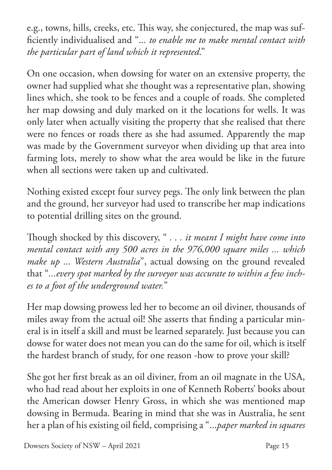e.g., towns, hills, creeks, etc. This way, she conjectured, the map was sufficiently individualised and ".*.. to enable me to make mental contact with the particular part of land which it represented*."

On one occasion, when dowsing for water on an extensive property, the owner had supplied what she thought was a representative plan, showing lines which, she took to be fences and a couple of roads. She completed her map dowsing and duly marked on it the locations for wells. It was only later when actually visiting the property that she realised that there were no fences or roads there as she had assumed. Apparently the map was made by the Government surveyor when dividing up that area into farming lots, merely to show what the area would be like in the future when all sections were taken up and cultivated.

Nothing existed except four survey pegs. The only link between the plan and the ground, her surveyor had used to transcribe her map indications to potential drilling sites on the ground.

Though shocked by this discovery, " *. . . it meant I might have come into mental contact with any 500 acres in the 976,000 square miles ... which make up ... Western Australia*", actual dowsing on the ground revealed that "*...every spot marked by the surveyor was accurate to within a few inches to a foot of the underground water.*"

Her map dowsing prowess led her to become an oil diviner, thousands of miles away from the actual oil! She asserts that finding a particular mineral is in itself a skill and must be learned separately. Just because you can dowse for water does not mean you can do the same for oil, which is itself the hardest branch of study, for one reason -how to prove your skill?

She got her first break as an oil diviner, from an oil magnate in the USA, who had read about her exploits in one of Kenneth Roberts' books about the American dowser Henry Gross, in which she was mentioned map dowsing in Bermuda. Bearing in mind that she was in Australia, he sent her a plan of his existing oil field, comprising a "...*paper marked in squares*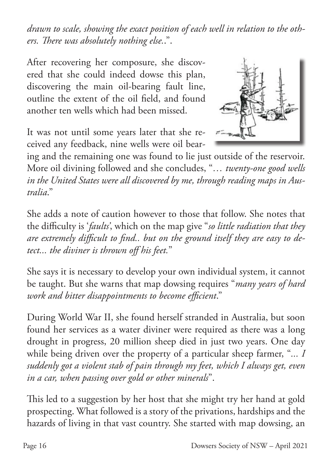*drawn to scale, showing the exact position of each well in relation to the others. There was absolutely nothing else.*.".

After recovering her composure, she discovered that she could indeed dowse this plan, discovering the main oil-bearing fault line, outline the extent of the oil field, and found another ten wells which had been missed.

It was not until some years later that she received any feedback, nine wells were oil bear-



ing and the remaining one was found to lie just outside of the reservoir. More oil divining followed and she concludes, "*… twenty-one good wells in the United States were all discovered by me, through reading maps in Australia*."

She adds a note of caution however to those that follow. She notes that the difficulty is '*faults'*, which on the map give "*so little radiation that they are extremely difficult to find.. but on the ground itself they are easy to detect... the diviner is thrown off his feet.*"

She says it is necessary to develop your own individual system, it cannot be taught. But she warns that map dowsing requires "*many years of hard work and bitter disappointments to become efficient*."

During World War II, she found herself stranded in Australia, but soon found her services as a water diviner were required as there was a long drought in progress, 20 million sheep died in just two years. One day while being driven over the property of a particular sheep farmer, "*... I suddenly got a violent stab of pain through my feet, which I always get, even in a car, when passing over gold or other minerals*".

This led to a suggestion by her host that she might try her hand at gold prospecting. What followed is a story of the privations, hardships and the hazards of living in that vast country. She started with map dowsing, an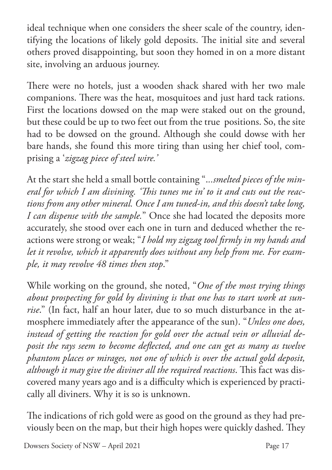ideal technique when one considers the sheer scale of the country, identifying the locations of likely gold deposits. The initial site and several others proved disappointing, but soon they homed in on a more distant site, involving an arduous journey.

There were no hotels, just a wooden shack shared with her two male companions. There was the heat, mosquitoes and just hard tack rations. First the locations dowsed on the map were staked out on the ground, but these could be up to two feet out from the true positions. So, the site had to be dowsed on the ground. Although she could dowse with her bare hands, she found this more tiring than using her chief tool, comprising a '*zigzag piece of steel wire.'*

At the start she held a small bottle containing ".*..smelted pieces of the mineral for which I am divining. 'This tunes me in' to it and cuts out the reactions from any other mineral. Once I am tuned-in, and this doesn't take long, I can dispense with the sample.*" Once she had located the deposits more accurately, she stood over each one in turn and deduced whether the reactions were strong or weak; "*I hold my zigzag tool firmly in my hands and let it revolve, which it apparently does without any help from me. For example, it may revolve 48 times then stop*."

While working on the ground, she noted, "*One of the most trying things about prospecting for gold by divining is that one has to start work at sunrise*." (In fact, half an hour later, due to so much disturbance in the atmosphere immediately after the appearance of the sun). "*Unless one does, instead of getting the reaction for gold over the actual vein or alluvial deposit the rays seem to become deflected, and one can get as many as twelve phantom places or mirages, not one of which is over the actual gold deposit, although it may give the diviner all the required reactions*. This fact was discovered many years ago and is a difficulty which is experienced by practically all diviners. Why it is so is unknown.

The indications of rich gold were as good on the ground as they had previously been on the map, but their high hopes were quickly dashed. They

Dowsers Society of NSW – April 2021 Page 17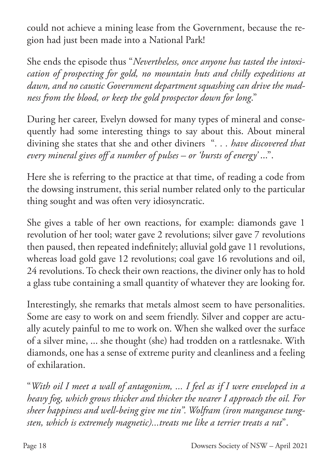could not achieve a mining lease from the Government, because the region had just been made into a National Park!

She ends the episode thus "*Nevertheless, once anyone has tasted the intoxication of prospecting for gold, no mountain huts and chilly expeditions at dawn, and no caustic Government department squashing can drive the madness from the blood, or keep the gold prospector down for long*."

During her career, Evelyn dowsed for many types of mineral and consequently had some interesting things to say about this. About mineral divining she states that she and other diviners "*. . . have discovered that every mineral gives off a number of pulses – or 'bursts of energy'* ...".

Here she is referring to the practice at that time, of reading a code from the dowsing instrument, this serial number related only to the particular thing sought and was often very idiosyncratic.

She gives a table of her own reactions, for example: diamonds gave 1 revolution of her tool; water gave 2 revolutions; silver gave 7 revolutions then paused, then repeated indefinitely; alluvial gold gave 11 revolutions, whereas load gold gave 12 revolutions; coal gave 16 revolutions and oil, 24 revolutions. To check their own reactions, the diviner only has to hold a glass tube containing a small quantity of whatever they are looking for.

Interestingly, she remarks that metals almost seem to have personalities. Some are easy to work on and seem friendly. Silver and copper are actually acutely painful to me to work on. When she walked over the surface of a silver mine, ... she thought (she) had trodden on a rattlesnake. With diamonds, one has a sense of extreme purity and cleanliness and a feeling of exhilaration.

"*With oil I meet a wall of antagonism, ... I feel as if I were enveloped in a heavy fog, which grows thicker and thicker the nearer I approach the oil. For sheer happiness and well-being give me tin". Wolfram (iron manganese tungsten, which is extremely magnetic)...treats me like a terrier treats a rat*".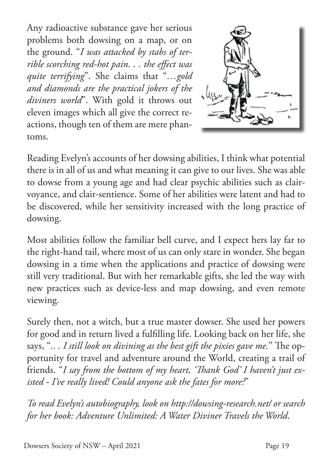Any radioactive substance gave her serious problems both dowsing on a map, or on the ground. "*I was attacked by stabs of terrible scorching red-hot pain. . . the effect was quite terrifying*". She claims that "*…gold and diamonds are the practical jokers of the diviners world*". With gold it throws out eleven images which all give the correct reactions, though ten of them are mere phantoms.



Reading Evelyn's accounts of her dowsing abilities, I think what potential there is in all of us and what meaning it can give to our lives. She was able to dowse from a young age and had clear psychic abilities such as clairvoyance, and clair-sentience. Some of her abilities were latent and had to be discovered, while her sensitivity increased with the long practice of dowsing.

Most abilities follow the familiar bell curve, and I expect hers lay far to the right-hand tail, where most of us can only stare in wonder. She began dowsing in a time when the applications and practice of dowsing were still very traditional. But with her remarkable gifts, she led the way with new practices such as device-less and map dowsing, and even remote viewing.

Surely then, not a witch, but a true master dowser. She used her powers for good and in return lived a fulfilling life. Looking back on her life, she says, "*.. . I still look on divining as the best gift the pixies gave me.*" The opportunity for travel and adventure around the World, creating a trail of friends. "*I say from the bottom of my heart, 'Thank God' I haven't just existed - I've really lived! Could anyone ask the fates for more?*"

*To read Evelyn's autobiography, look on http://dowsing-research.net/ or search for her book: Adventure Unlimited: A Water Diviner Travels the World*.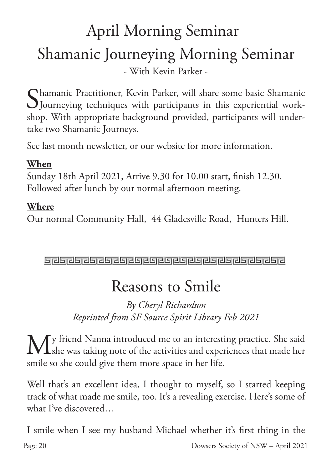## April Morning Seminar Shamanic Journeying Morning Seminar - With Kevin Parker -

Shamanic Practitioner, Kevin Parker, will share some basic Shamanic<br>Journeying techniques with participants in this experiential work-Journeying techniques with participants in this experiential workshop. With appropriate background provided, participants will undertake two Shamanic Journeys.

See last month newsletter, or our website for more information.

### **When**

Sunday 18th April 2021, Arrive 9.30 for 10.00 start, finish 12.30. Followed after lunch by our normal afternoon meeting.

### **Where**

Our normal Community Hall, 44 Gladesville Road, Hunters Hill.

لأرواق والواه الواقر والواقر والواقر والواقر والواقري والواقرية والمراقرة

## Reasons to Smile

### *By Cheryl Richardson Reprinted from SF Source Spirit Library Feb 2021*

 $M$ y friend Nanna introduced me to an interesting practice. She said<br>Ashe was taking note of the activities and experiences that made her she was taking note of the activities and experiences that made her smile so she could give them more space in her life.

Well that's an excellent idea, I thought to myself, so I started keeping track of what made me smile, too. It's a revealing exercise. Here's some of what I've discovered…

I smile when I see my husband Michael whether it's first thing in the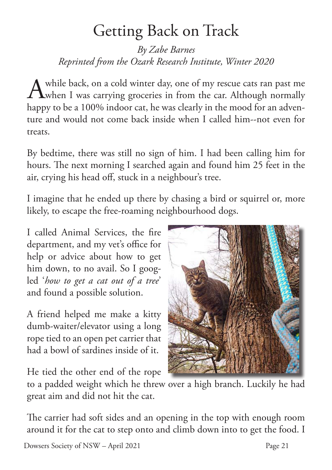## Getting Back on Track

*By Zabe Barnes Reprinted from the Ozark Research Institute, Winter 2020*

A while back, on a cold winter day, one of my rescue cats ran past me **T**when I was carrying groceries in from the car. Although normally happy to be a 100% indoor cat, he was clearly in the mood for an adventure and would not come back inside when I called him--not even for treats.

By bedtime, there was still no sign of him. I had been calling him for hours. The next morning I searched again and found him 25 feet in the air, crying his head off, stuck in a neighbour's tree.

I imagine that he ended up there by chasing a bird or squirrel or, more likely, to escape the free-roaming neighbourhood dogs.

I called Animal Services, the fire department, and my vet's office for help or advice about how to get him down, to no avail. So I googled '*how to get a cat out of a tree*' and found a possible solution.

A friend helped me make a kitty dumb-waiter/elevator using a long rope tied to an open pet carrier that had a bowl of sardines inside of it.

He tied the other end of the rope



to a padded weight which he threw over a high branch. Luckily he had great aim and did not hit the cat.

The carrier had soft sides and an opening in the top with enough room around it for the cat to step onto and climb down into to get the food. I

Dowsers Society of NSW – April 2021 Page 21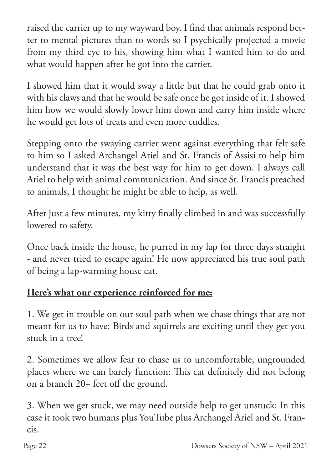raised the carrier up to my wayward boy. I find that animals respond better to mental pictures than to words so I psychically projected a movie from my third eye to his, showing him what I wanted him to do and what would happen after he got into the carrier.

I showed him that it would sway a little but that he could grab onto it with his claws and that he would be safe once he got inside of it. I showed him how we would slowly lower him down and carry him inside where he would get lots of treats and even more cuddles.

Stepping onto the swaying carrier went against everything that felt safe to him so I asked Archangel Ariel and St. Francis of Assisi to help him understand that it was the best way for him to get down. I always call Ariel to help with animal communication. And since St. Francis preached to animals, I thought he might be able to help, as well.

After just a few minutes, my kitty finally climbed in and was successfully lowered to safety.

Once back inside the house, he purred in my lap for three days straight - and never tried to escape again! He now appreciated his true soul path of being a lap-warming house cat.

### **Here's what our experience reinforced for me:**

1. We get in trouble on our soul path when we chase things that are not meant for us to have: Birds and squirrels are exciting until they get you stuck in a tree!

2. Sometimes we allow fear to chase us to uncomfortable, ungrounded places where we can barely function: This cat definitely did not belong on a branch 20+ feet off the ground.

3. When we get stuck, we may need outside help to get unstuck: In this case it took two humans plus YouTube plus Archangel Ariel and St. Francis.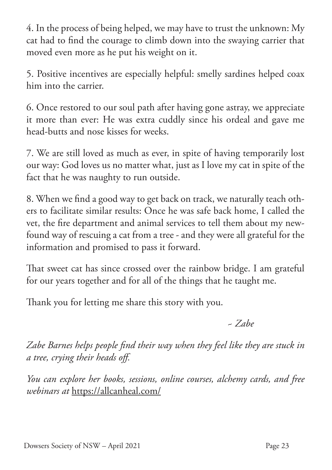4. In the process of being helped, we may have to trust the unknown: My cat had to find the courage to climb down into the swaying carrier that moved even more as he put his weight on it.

5. Positive incentives are especially helpful: smelly sardines helped coax him into the carrier.

6. Once restored to our soul path after having gone astray, we appreciate it more than ever: He was extra cuddly since his ordeal and gave me head-butts and nose kisses for weeks.

7. We are still loved as much as ever, in spite of having temporarily lost our way: God loves us no matter what, just as I love my cat in spite of the fact that he was naughty to run outside.

8. When we find a good way to get back on track, we naturally teach others to facilitate similar results: Once he was safe back home, I called the vet, the fire department and animal services to tell them about my newfound way of rescuing a cat from a tree - and they were all grateful for the information and promised to pass it forward.

That sweet cat has since crossed over the rainbow bridge. I am grateful for our years together and for all of the things that he taught me.

Thank you for letting me share this story with you.

 *~ Zabe*

*Zabe Barnes helps people find their way when they feel like they are stuck in a tree, crying their heads off.* 

*You can explore her books, sessions, online courses, alchemy cards, and free webinars at* https://allcanheal.com/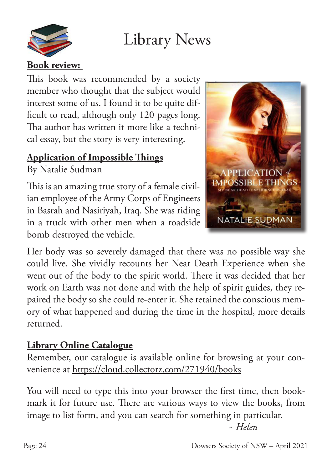



This book was recommended by a society member who thought that the subject would interest some of us. I found it to be quite difficult to read, although only 120 pages long. Tha author has written it more like a technical essay, but the story is very interesting.

### **Application of Impossible Things**

By Natalie Sudman

This is an amazing true story of a female civilian employee of the Army Corps of Engineers in Basrah and Nasiriyah, Iraq. She was riding in a truck with other men when a roadside bomb destroyed the vehicle.



Her body was so severely damaged that there was no possible way she could live. She vividly recounts her Near Death Experience when she went out of the body to the spirit world. There it was decided that her work on Earth was not done and with the help of spirit guides, they repaired the body so she could re-enter it. She retained the conscious memory of what happened and during the time in the hospital, more details returned.

### **Library Online Catalogue**

Remember, our catalogue is available online for browsing at your convenience at https://cloud.collectorz.com/271940/books

You will need to type this into your browser the first time, then bookmark it for future use. There are various ways to view the books, from image to list form, and you can search for something in particular.

*~ Helen*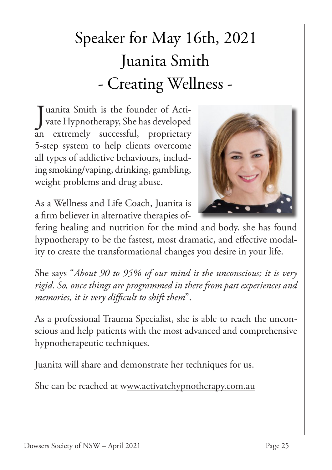# Speaker for May 16th, 2021 Juanita Smith - Creating Wellness -

J uanita Smith is the founder of Activate Hypnotherapy, She has developed an extremely successful, proprietary 5-step system to help clients overcome all types of addictive behaviours, including smoking/vaping, drinking, gambling, weight problems and drug abuse.

As a Wellness and Life Coach, Juanita is a firm believer in alternative therapies of-



fering healing and nutrition for the mind and body. she has found hypnotherapy to be the fastest, most dramatic, and effective modality to create the transformational changes you desire in your life.

She says "*About 90 to 95% of our mind is the unconscious; it is very rigid. So, once things are programmed in there from past experiences and memories, it is very difficult to shift them*".

As a professional Trauma Specialist, she is able to reach the unconscious and help patients with the most advanced and comprehensive hypnotherapeutic techniques.

Juanita will share and demonstrate her techniques for us.

She can be reached at www.activatehypnotherapy.com.au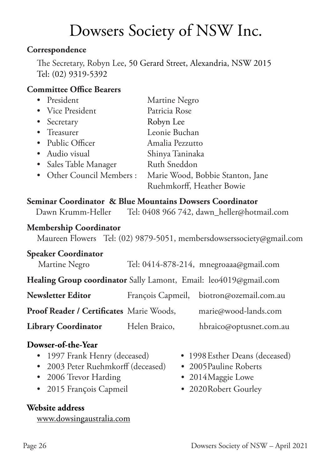## Dowsers Society of NSW Inc.

#### **Correspondence**

The Secretary, Robyn Lee, 50 Gerard Street, Alexandria, NSW 2015 Tel: (02) 9319-5392

#### **Committee Office Bearers**

| • President               | Martine Negro                    |
|---------------------------|----------------------------------|
| • Vice President          | Patricia Rose                    |
| • Secretary               | Robyn Lee                        |
| • Treasurer               | Leonie Buchan                    |
| • Public Officer          | Amalia Pezzutto                  |
| • Audio visual            | Shinya Taninaka                  |
| • Sales Table Manager     | Ruth Sneddon                     |
| • Other Council Members : | Marie Wood, Bobbie Stanton, Jane |
|                           | Ruehmkorff, Heather Bowie        |

#### **Seminar Coordinator & Blue Mountains Dowsers Coordinator**

| Tel: 0408 966 742, dawn_heller@hotmail.com<br>Dawn Krumm-Heller |
|-----------------------------------------------------------------|
|-----------------------------------------------------------------|

#### **Membership Coordinator**

Maureen Flowers Tel: (02) 9879-5051, membersdowserssociety@gmail.com

#### **Speaker Coordinator**

| Martine Negro | Tel: 0414-878-214, mnegroaaa@gmail.com |
|---------------|----------------------------------------|
|               |                                        |

**Healing Group coordinator** Sally Lamont, Email: leo4019@gmail.com

| <b>Newsletter Editor</b>                 |               | François Capmeil, biotron@ozemail.com.au |
|------------------------------------------|---------------|------------------------------------------|
| Proof Reader / Certificates Marie Woods, |               | marie@wood-lands.com                     |
| <b>Library Coordinator</b>               | Helen Braico, | hbraico@optusnet.com.au                  |

#### **Dowser-of-the-Year**

- 
- 2003 Peter Ruehmkorff (deceased) 2005 Pauline Roberts
- 2006 Trevor Harding 2014 Maggie Lowe
- 2015 François Capmeil 2020 Robert Gourley

#### **Website address**

www.dowsingaustralia.com

- 1997 Frank Henry (deceased) 1998 Esther Deans (deceased)
	-
	-
	-